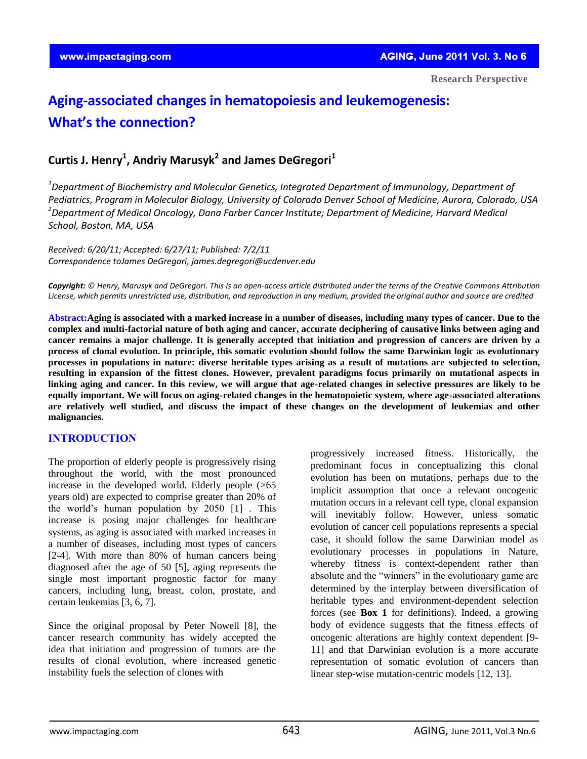# **Aging-associated changes in hematopoiesis and leukemogenesis: What's the connection?**

# **Curtis J. Henry<sup>1</sup> , Andriy Marusyk<sup>2</sup> and James DeGregori<sup>1</sup>**

*<sup>1</sup>Department of Biochemistry and Molecular Genetics, Integrated Department of Immunology, Department of Pediatrics, Program in Molecular Biology, University of Colorado Denver School of Medicine, Aurora, Colorado, USA <sup>2</sup>Department of Medical Oncology, Dana Farber Cancer Institute; Department of Medicine, Harvard Medical School, Boston, MA, USA* 

*Received: 6/20/11; Accepted: 6/27/[11; Published: 7/2/11](mailto:james.degregori@ucdenver.edu)  Correspondence toJames DeGregori, james.degregori@ucdenver.edu*

*Copyright: © Henry, Marusyk and DeGregori. This is an open-access article distributed under the terms of the Creative Commons Attribution License, which permits unrestricted use, distribution, and reproduction in any medium, provided the original author and source are credited* 

 **Abstract:Aging is associated with a marked increase in a number of diseases, including many types of cancer. Due to the complex and multi-factorial nature of both aging and cancer, accurate deciphering of causative links between aging and cancer remains a major challenge. It is generally accepted that initiation and progression of cancers are driven by a process of clonal evolution. In principle, this somatic evolution should follow the same Darwinian logic as evolutionary processes in populations in nature: diverse heritable types arising as a result of mutations are subjected to selection, resulting in expansion of the fittest clones. However, prevalent paradigms focus primarily on mutational aspects in linking aging and cancer. In this review, we will argue that age-related changes in selective pressures are likely to be equally important. We will focus on aging-related changes in the hematopoietic system, where age-associated alterations are relatively well studied, and discuss the impact of these changes on the development of leukemias and other malignancies.** 

# **INTRODUCTION**

The proportion of elderly people is progressively rising throughout the world, with the most pronounced increase in the developed world. Elderly people (>65 years old) are expected to comprise greater than 20% of the world's human population by 2050 [1] . This increase is posing major challenges for healthcare systems, as aging is associated with marked increases in a number of diseases, including most types of cancers [2-4]. With more than 80% of human cancers being diagnosed after the age of 50 [5], aging represents the single most important prognostic factor for many cancers, including lung, breast, colon, prostate, and certain leukemias [3, 6, 7].

Since the original proposal by Peter Nowell [8], the cancer research community has widely accepted the idea that initiation and progression of tumors are the results of clonal evolution, where increased genetic instability fuels the selection of clones with

progressively increased fitness. Historically, the predominant focus in conceptualizing this clonal evolution has been on mutations, perhaps due to the implicit assumption that once a relevant oncogenic mutation occurs in a relevant cell type, clonal expansion will inevitably follow. However, unless somatic evolution of cancer cell populations represents a special case, it should follow the same Darwinian model as evolutionary processes in populations in Nature, whereby fitness is context-dependent rather than absolute and the "winners" in the evolutionary game are determined by the interplay between diversification of heritable types and environment-dependent selection forces (see **Box 1** for definitions). Indeed, a growing body of evidence suggests that the fitness effects of oncogenic alterations are highly context dependent [9- 11] and that Darwinian evolution is a more accurate representation of somatic evolution of cancers than linear step-wise mutation-centric models [12, 13].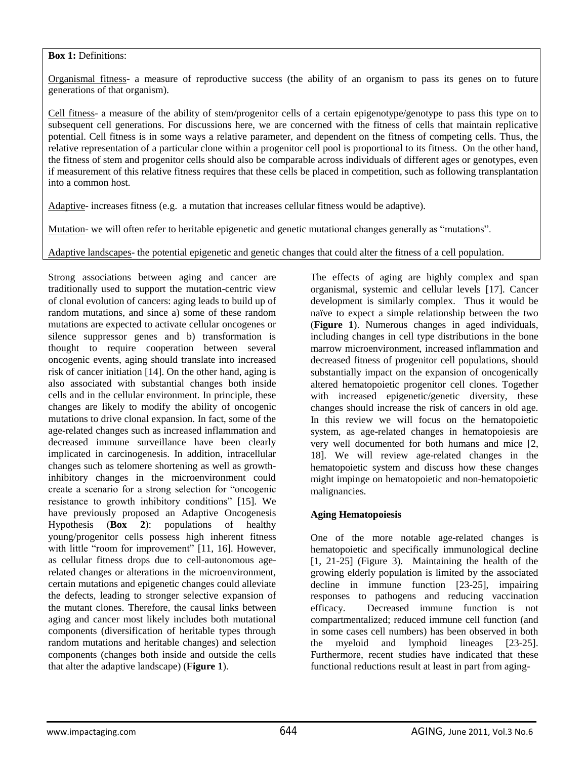# **Box 1:** Definitions:

Organismal fitness- a measure of reproductive success (the ability of an organism to pass its genes on to future generations of that organism).

Cell fitness- a measure of the ability of stem/progenitor cells of a certain epigenotype/genotype to pass this type on to subsequent cell generations. For discussions here, we are concerned with the fitness of cells that maintain replicative potential. Cell fitness is in some ways a relative parameter, and dependent on the fitness of competing cells. Thus, the relative representation of a particular clone within a progenitor cell pool is proportional to its fitness. On the other hand, the fitness of stem and progenitor cells should also be comparable across individuals of different ages or genotypes, even if measurement of this relative fitness requires that these cells be placed in competition, such as following transplantation into a common host.

Adaptive- increases fitness (e.g. a mutation that increases cellular fitness would be adaptive).

Mutation- we will often refer to heritable epigenetic and genetic mutational changes generally as "mutations".

Adaptive landscapes- the potential epigenetic and genetic changes that could alter the fitness of a cell population.

Strong associations between aging and cancer are traditionally used to support the mutation-centric view of clonal evolution of cancers: aging leads to build up of random mutations, and since a) some of these random mutations are expected to activate cellular oncogenes or silence suppressor genes and b) transformation is thought to require cooperation between several oncogenic events, aging should translate into increased risk of cancer initiation [14]. On the other hand, aging is also associated with substantial changes both inside cells and in the cellular environment. In principle, these changes are likely to modify the ability of oncogenic mutations to drive clonal expansion. In fact, some of the age-related changes such as increased inflammation and decreased immune surveillance have been clearly implicated in carcinogenesis. In addition, intracellular changes such as telomere shortening as well as growthinhibitory changes in the microenvironment could create a scenario for a strong selection for "oncogenic resistance to growth inhibitory conditions" [15]. We have previously proposed an Adaptive Oncogenesis Hypothesis (**Box 2**): populations of healthy young/progenitor cells possess high inherent fitness with little "room for improvement" [11, 16]. However, as cellular fitness drops due to cell-autonomous agerelated changes or alterations in the microenvironment, certain mutations and epigenetic changes could alleviate the defects, leading to stronger selective expansion of the mutant clones. Therefore, the causal links between aging and cancer most likely includes both mutational components (diversification of heritable types through random mutations and heritable changes) and selection components (changes both inside and outside the cells that alter the adaptive landscape) (**Figure 1**).

The effects of aging are highly complex and span organismal, systemic and cellular levels [17]. Cancer development is similarly complex. Thus it would be naïve to expect a simple relationship between the two (**Figure 1**). Numerous changes in aged individuals, including changes in cell type distributions in the bone marrow microenvironment, increased inflammation and decreased fitness of progenitor cell populations, should substantially impact on the expansion of oncogenically altered hematopoietic progenitor cell clones. Together with increased epigenetic/genetic diversity, these changes should increase the risk of cancers in old age. In this review we will focus on the hematopoietic system, as age-related changes in hematopoiesis are very well documented for both humans and mice [2, 18]. We will review age-related changes in the hematopoietic system and discuss how these changes might impinge on hematopoietic and non-hematopoietic malignancies.

# **Aging Hematopoiesis**

One of the more notable age-related changes is hematopoietic and specifically immunological decline [1, 21-25] (Figure 3). Maintaining the health of the growing elderly population is limited by the associated decline in immune function [23-25], impairing responses to pathogens and reducing vaccination efficacy. Decreased immune function is not compartmentalized; reduced immune cell function (and in some cases cell numbers) has been observed in both the myeloid and lymphoid lineages [23-25]. Furthermore, recent studies have indicated that these functional reductions result at least in part from aging-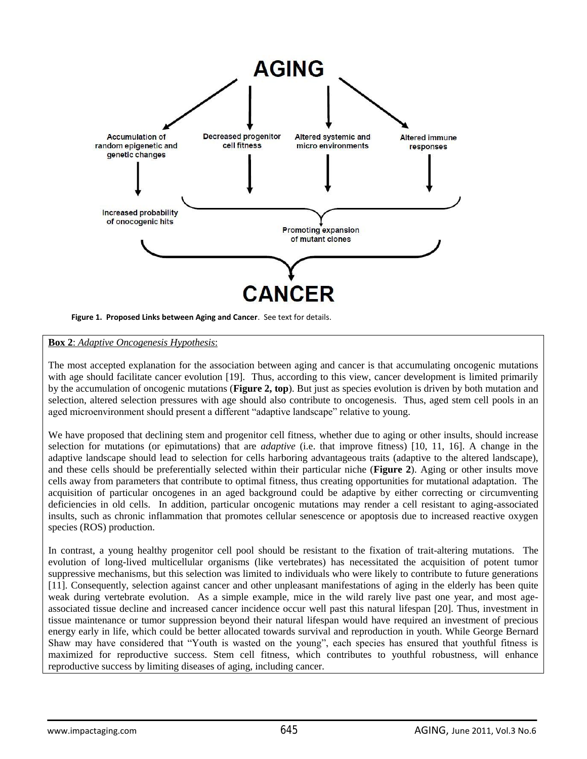

**Figure 1. Proposed Links between Aging and Cancer**. See text for details.

## **Box 2**: *Adaptive Oncogenesis Hypothesis*:

The most accepted explanation for the association between aging and cancer is that accumulating oncogenic mutations with age should facilitate cancer evolution [19]. Thus, according to this view, cancer development is limited primarily by the accumulation of oncogenic mutations (**Figure 2, top**). But just as species evolution is driven by both mutation and selection, altered selection pressures with age should also contribute to oncogenesis. Thus, aged stem cell pools in an aged microenvironment should present a different "adaptive landscape" relative to young.

We have proposed that declining stem and progenitor cell fitness, whether due to aging or other insults, should increase selection for mutations (or epimutations) that are *adaptive* (i.e. that improve fitness) [10, 11, 16]. A change in the adaptive landscape should lead to selection for cells harboring advantageous traits (adaptive to the altered landscape), and these cells should be preferentially selected within their particular niche (**Figure 2**). Aging or other insults move cells away from parameters that contribute to optimal fitness, thus creating opportunities for mutational adaptation. The acquisition of particular oncogenes in an aged background could be adaptive by either correcting or circumventing deficiencies in old cells. In addition, particular oncogenic mutations may render a cell resistant to aging-associated insults, such as chronic inflammation that promotes cellular senescence or apoptosis due to increased reactive oxygen species (ROS) production.

In contrast, a young healthy progenitor cell pool should be resistant to the fixation of trait-altering mutations. The evolution of long-lived multicellular organisms (like vertebrates) has necessitated the acquisition of potent tumor suppressive mechanisms, but this selection was limited to individuals who were likely to contribute to future generations [11]. Consequently, selection against cancer and other unpleasant manifestations of aging in the elderly has been quite weak during vertebrate evolution. As a simple example, mice in the wild rarely live past one year, and most ageassociated tissue decline and increased cancer incidence occur well past this natural lifespan [20]. Thus, investment in tissue maintenance or tumor suppression beyond their natural lifespan would have required an investment of precious energy early in life, which could be better allocated towards survival and reproduction in youth. While George Bernard Shaw may have considered that "Youth is wasted on the young", each species has ensured that youthful fitness is maximized for reproductive success. Stem cell fitness, which contributes to youthful robustness, will enhance reproductive success by limiting diseases of aging, including cancer.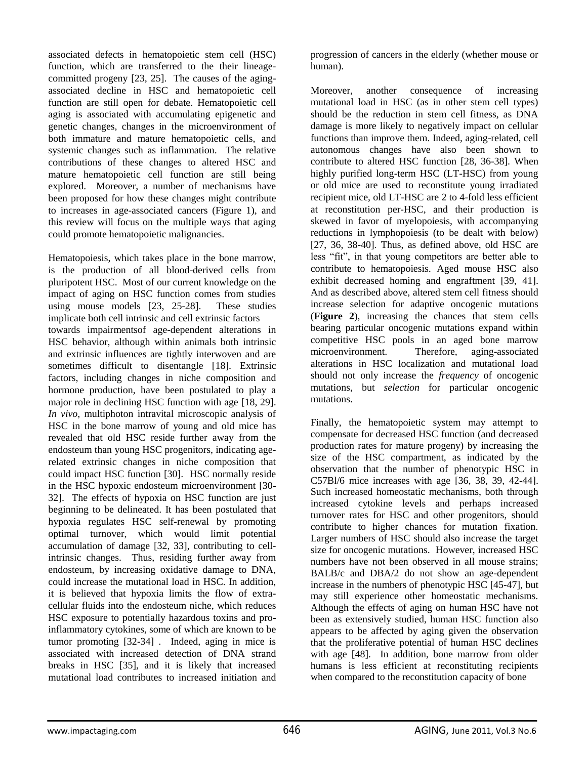associated defects in hematopoietic stem cell (HSC) function, which are transferred to the their lineagecommitted progeny [23, 25]. The causes of the agingassociated decline in HSC and hematopoietic cell function are still open for debate. Hematopoietic cell aging is associated with accumulating epigenetic and genetic changes, changes in the microenvironment of both immature and mature hematopoietic cells, and systemic changes such as inflammation. The relative contributions of these changes to altered HSC and mature hematopoietic cell function are still being explored. Moreover, a number of mechanisms have been proposed for how these changes might contribute to increases in age-associated cancers (Figure 1), and this review will focus on the multiple ways that aging could promote hematopoietic malignancies.

Hematopoiesis, which takes place in the bone marrow, is the production of all blood-derived cells from pluripotent HSC. Most of our current knowledge on the impact of aging on HSC function comes from studies using mouse models [23, 25-28]. These studies implicate both cell intrinsic and cell extrinsic factors towards impairmentsof age-dependent alterations in HSC behavior, although within animals both intrinsic and extrinsic influences are tightly interwoven and are sometimes difficult to disentangle [18]. Extrinsic factors, including changes in niche composition and hormone production, have been postulated to play a major role in declining HSC function with age [18, 29]. *In vivo*, multiphoton intravital microscopic analysis of HSC in the bone marrow of young and old mice has revealed that old HSC reside further away from the endosteum than young HSC progenitors, indicating agerelated extrinsic changes in niche composition that could impact HSC function [30]. HSC normally reside in the HSC hypoxic endosteum microenvironment [30- 32]. The effects of hypoxia on HSC function are just beginning to be delineated. It has been postulated that hypoxia regulates HSC self-renewal by promoting optimal turnover, which would limit potential accumulation of damage [32, 33], contributing to cellintrinsic changes. Thus, residing further away from endosteum, by increasing oxidative damage to DNA, could increase the mutational load in HSC. In addition, it is believed that hypoxia limits the flow of extracellular fluids into the endosteum niche, which reduces HSC exposure to potentially hazardous toxins and proinflammatory cytokines, some of which are known to be tumor promoting [32-34] . Indeed, aging in mice is associated with increased detection of DNA strand breaks in HSC [35], and it is likely that increased mutational load contributes to increased initiation and

progression of cancers in the elderly (whether mouse or human).

Moreover, another consequence of increasing mutational load in HSC (as in other stem cell types) should be the reduction in stem cell fitness, as DNA damage is more likely to negatively impact on cellular functions than improve them. Indeed, aging-related, cell autonomous changes have also been shown to contribute to altered HSC function [28, 36-38]. When highly purified long-term HSC (LT-HSC) from young or old mice are used to reconstitute young irradiated recipient mice, old LT-HSC are 2 to 4-fold less efficient at reconstitution per-HSC, and their production is skewed in favor of myelopoiesis, with accompanying reductions in lymphopoiesis (to be dealt with below) [27, 36, 38-40]. Thus, as defined above, old HSC are less "fit", in that young competitors are better able to contribute to hematopoiesis. Aged mouse HSC also exhibit decreased homing and engraftment [39, 41]. And as described above, altered stem cell fitness should increase selection for adaptive oncogenic mutations (**Figure 2**), increasing the chances that stem cells bearing particular oncogenic mutations expand within competitive HSC pools in an aged bone marrow microenvironment. Therefore, aging-associated alterations in HSC localization and mutational load should not only increase the *frequency* of oncogenic mutations, but *selection* for particular oncogenic mutations.

Finally, the hematopoietic system may attempt to compensate for decreased HSC function (and decreased production rates for mature progeny) by increasing the size of the HSC compartment, as indicated by the observation that the number of phenotypic HSC in C57Bl/6 mice increases with age [36, 38, 39, 42-44]. Such increased homeostatic mechanisms, both through increased cytokine levels and perhaps increased turnover rates for HSC and other progenitors, should contribute to higher chances for mutation fixation. Larger numbers of HSC should also increase the target size for oncogenic mutations. However, increased HSC numbers have not been observed in all mouse strains; BALB/c and DBA/2 do not show an age-dependent increase in the numbers of phenotypic HSC [45-47], but may still experience other homeostatic mechanisms. Although the effects of aging on human HSC have not been as extensively studied, human HSC function also appears to be affected by aging given the observation that the proliferative potential of human HSC declines with age [48]. In addition, bone marrow from older humans is less efficient at reconstituting recipients when compared to the reconstitution capacity of bone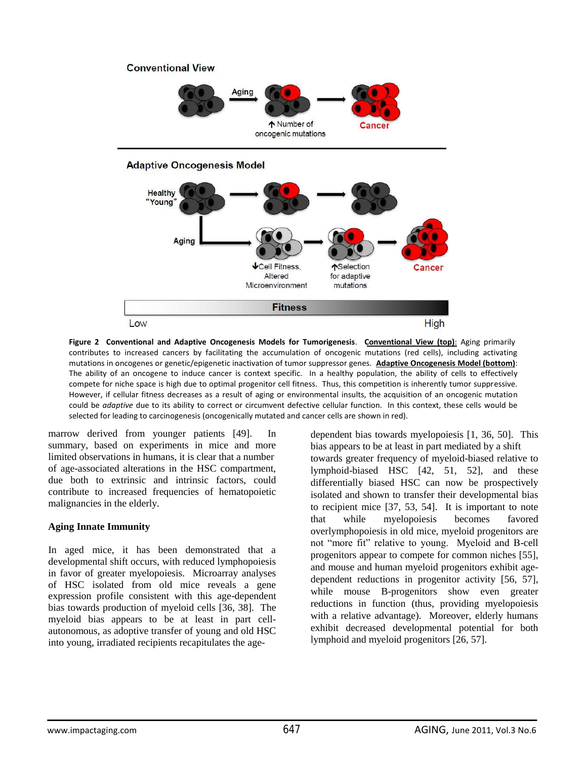

**Figure 2 Conventional and Adaptive Oncogenesis Models for Tumorigenesis**. **Conventional View (top)**: Aging primarily contributes to increased cancers by facilitating the accumulation of oncogenic mutations (red cells), including activating mutations in oncogenes or genetic/epigenetic inactivation of tumor suppressor genes. **Adaptive Oncogenesis Model (bottom)**: The ability of an oncogene to induce cancer is context specific. In a healthy population, the ability of cells to effectively compete for niche space is high due to optimal progenitor cell fitness. Thus, this competition is inherently tumor suppressive. However, if cellular fitness decreases as a result of aging or environmental insults, the acquisition of an oncogenic mutation could be *adaptive* due to its ability to correct or circumvent defective cellular function. In this context, these cells would be selected for leading to carcinogenesis (oncogenically mutated and cancer cells are shown in red).

marrow derived from younger patients [49]. In summary, based on experiments in mice and more limited observations in humans, it is clear that a number of age-associated alterations in the HSC compartment, due both to extrinsic and intrinsic factors, could contribute to increased frequencies of hematopoietic malignancies in the elderly.

## **Aging Innate Immunity**

In aged mice, it has been demonstrated that a developmental shift occurs, with reduced lymphopoiesis in favor of greater myelopoiesis. Microarray analyses of HSC isolated from old mice reveals a gene expression profile consistent with this age-dependent bias towards production of myeloid cells [36, 38]. The myeloid bias appears to be at least in part cellautonomous, as adoptive transfer of young and old HSC into young, irradiated recipients recapitulates the agedependent bias towards myelopoiesis [1, 36, 50]. This bias appears to be at least in part mediated by a shift towards greater frequency of myeloid-biased relative to lymphoid-biased HSC [42, 51, 52], and these differentially biased HSC can now be prospectively isolated and shown to transfer their developmental bias to recipient mice [37, 53, 54]. It is important to note that while myelopoiesis becomes favored overlymphopoiesis in old mice, myeloid progenitors are not "more fit" relative to young. Myeloid and B-cell progenitors appear to compete for common niches [55], and mouse and human myeloid progenitors exhibit agedependent reductions in progenitor activity [56, 57], while mouse B-progenitors show even greater reductions in function (thus, providing myelopoiesis with a relative advantage). Moreover, elderly humans exhibit decreased developmental potential for both lymphoid and myeloid progenitors [26, 57].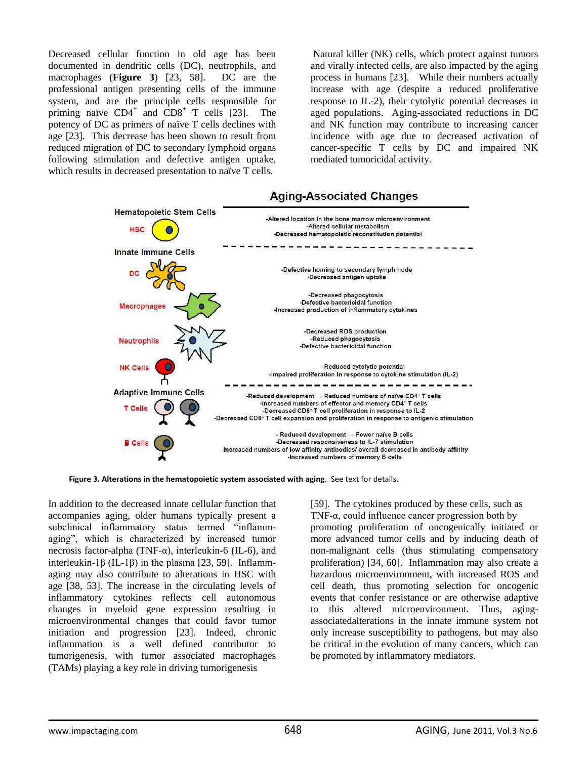Decreased cellular function in old age has been documented in dendritic cells (DC), neutrophils, and macrophages (**Figure 3**) [23, 58]. DC are the professional antigen presenting cells of the immune system, and are the principle cells responsible for priming naïve  $CD4^+$  and  $CD8^+$  T cells [23]. The potency of DC as primers of naïve T cells declines with age [23]. This decrease has been shown to result from reduced migration of DC to secondary lymphoid organs following stimulation and defective antigen uptake, which results in decreased presentation to naïve T cells.

 Natural killer (NK) cells, which protect against tumors and virally infected cells, are also impacted by the aging process in humans [23]. While their numbers actually increase with age (despite a reduced proliferative response to IL-2), their cytolytic potential decreases in aged populations. Aging-associated reductions in DC and NK function may contribute to increasing cancer incidence with age due to decreased activation of cancer-specific T cells by DC and impaired NK mediated tumoricidal activity.



**Figure 3. Alterations in the hematopoietic system associated with aging**. See text for details.

In addition to the decreased innate cellular function that accompanies aging, older humans typically present a subclinical inflammatory status termed "inflammaging", which is characterized by increased tumor necrosis factor-alpha (TNF-α), interleukin-6 (IL-6), and interleukin-1β (IL-1β) in the plasma [23, 59]. Inflammaging may also contribute to alterations in HSC with age [38, 53]. The increase in the circulating levels of inflammatory cytokines reflects cell autonomous changes in myeloid gene expression resulting in microenvironmental changes that could favor tumor initiation and progression [23]. Indeed, chronic inflammation is a well defined contributor to tumorigenesis, with tumor associated macrophages (TAMs) playing a key role in driving tumorigenesis

[59]. The cytokines produced by these cells, such as TNF-α, could influence cancer progression both by promoting proliferation of oncogenically initiated or more advanced tumor cells and by inducing death of non-malignant cells (thus stimulating compensatory proliferation) [34, 60]. Inflammation may also create a hazardous microenvironment, with increased ROS and cell death, thus promoting selection for oncogenic events that confer resistance or are otherwise adaptive to this altered microenvironment. Thus, agingassociatedalterations in the innate immune system not only increase susceptibility to pathogens, but may also be critical in the evolution of many cancers, which can be promoted by inflammatory mediators.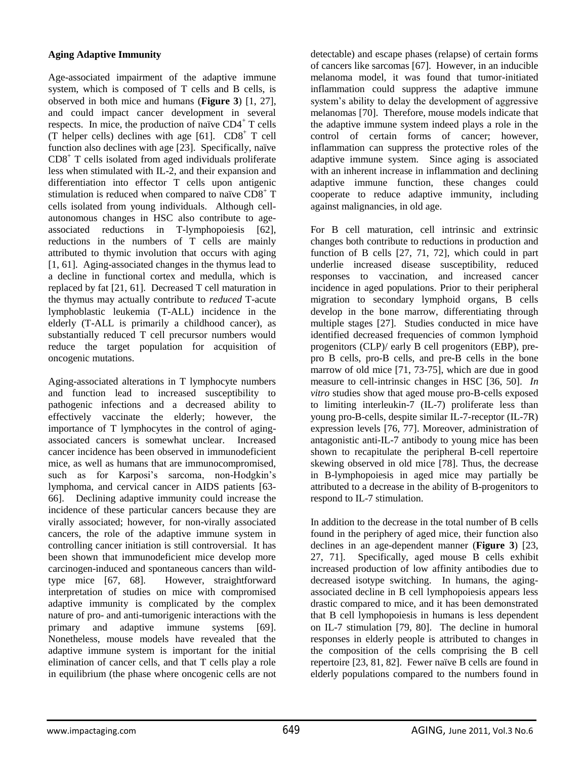# **Aging Adaptive Immunity**

Age-associated impairment of the adaptive immune system, which is composed of T cells and B cells, is observed in both mice and humans (**Figure 3**) [1, 27], and could impact cancer development in several respects. In mice, the production of naïve  $CD4^+$  T cells (T helper cells) declines with age  $[61]$ .  $CD8<sup>+</sup>$  T cell function also declines with age [23]. Specifically, naïve CD8<sup>+</sup> T cells isolated from aged individuals proliferate less when stimulated with IL-2, and their expansion and differentiation into effector T cells upon antigenic stimulation is reduced when compared to naïve  $C\overline{D}8^+$  T cells isolated from young individuals. Although cellautonomous changes in HSC also contribute to ageassociated reductions in T-lymphopoiesis [62], reductions in the numbers of T cells are mainly attributed to thymic involution that occurs with aging [1, 61]. Aging-associated changes in the thymus lead to a decline in functional cortex and medulla, which is replaced by fat [21, 61]. Decreased T cell maturation in the thymus may actually contribute to *reduced* T-acute lymphoblastic leukemia (T-ALL) incidence in the elderly (T-ALL is primarily a childhood cancer), as substantially reduced T cell precursor numbers would reduce the target population for acquisition of oncogenic mutations.

Aging-associated alterations in T lymphocyte numbers and function lead to increased susceptibility to pathogenic infections and a decreased ability to effectively vaccinate the elderly; however, the importance of T lymphocytes in the control of agingassociated cancers is somewhat unclear. Increased cancer incidence has been observed in immunodeficient mice, as well as humans that are immunocompromised, such as for Karposi's sarcoma, non-Hodgkin's lymphoma, and cervical cancer in AIDS patients [63- 66]. Declining adaptive immunity could increase the incidence of these particular cancers because they are virally associated; however, for non-virally associated cancers, the role of the adaptive immune system in controlling cancer initiation is still controversial. It has been shown that immunodeficient mice develop more carcinogen-induced and spontaneous cancers than wildtype mice [67, 68]. However, straightforward interpretation of studies on mice with compromised adaptive immunity is complicated by the complex nature of pro- and anti-tumorigenic interactions with the primary and adaptive immune systems [69]. Nonetheless, mouse models have revealed that the adaptive immune system is important for the initial elimination of cancer cells, and that T cells play a role in equilibrium (the phase where oncogenic cells are not

detectable) and escape phases (relapse) of certain forms of cancers like sarcomas [67]. However, in an inducible melanoma model, it was found that tumor-initiated inflammation could suppress the adaptive immune system's ability to delay the development of aggressive melanomas [70]. Therefore, mouse models indicate that the adaptive immune system indeed plays a role in the control of certain forms of cancer; however, inflammation can suppress the protective roles of the adaptive immune system. Since aging is associated with an inherent increase in inflammation and declining adaptive immune function, these changes could cooperate to reduce adaptive immunity, including against malignancies, in old age.

For B cell maturation, cell intrinsic and extrinsic changes both contribute to reductions in production and function of B cells [27, 71, 72], which could in part underlie increased disease susceptibility, reduced responses to vaccination, and increased cancer incidence in aged populations. Prior to their peripheral migration to secondary lymphoid organs, B cells develop in the bone marrow, differentiating through multiple stages [27]. Studies conducted in mice have identified decreased frequencies of common lymphoid progenitors (CLP)/ early B cell progenitors (EBP), prepro B cells, pro-B cells, and pre-B cells in the bone marrow of old mice [71, 73-75], which are due in good measure to cell-intrinsic changes in HSC [36, 50]. *In vitro* studies show that aged mouse pro-B-cells exposed to limiting interleukin-7 (IL-7) proliferate less than young pro-B-cells, despite similar IL-7-receptor (IL-7R) expression levels [76, 77]. Moreover, administration of antagonistic anti-IL-7 antibody to young mice has been shown to recapitulate the peripheral B-cell repertoire skewing observed in old mice [78]. Thus, the decrease in B-lymphopoiesis in aged mice may partially be attributed to a decrease in the ability of B-progenitors to respond to IL-7 stimulation.

In addition to the decrease in the total number of B cells found in the periphery of aged mice, their function also declines in an age-dependent manner (**Figure 3**) [23, 27, 71]. Specifically, aged mouse B cells exhibit increased production of low affinity antibodies due to decreased isotype switching. In humans, the agingassociated decline in B cell lymphopoiesis appears less drastic compared to mice, and it has been demonstrated that B cell lymphopoiesis in humans is less dependent on IL-7 stimulation [79, 80]. The decline in humoral responses in elderly people is attributed to changes in the composition of the cells comprising the B cell repertoire [23, 81, 82]. Fewer naïve B cells are found in elderly populations compared to the numbers found in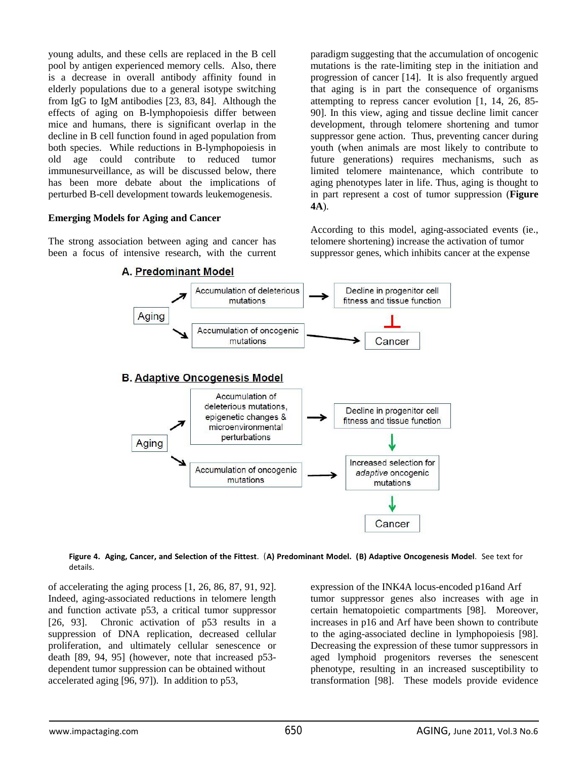young adults, and these cells are replaced in the B cell pool by antigen experienced memory cells. Also, there is a decrease in overall antibody affinity found in elderly populations due to a general isotype switching from IgG to IgM antibodies [23, 83, 84]. Although the effects of aging on B-lymphopoiesis differ between mice and humans, there is significant overlap in the decline in B cell function found in aged population from both species. While reductions in B-lymphopoiesis in old age could contribute to reduced tumor immunesurveillance, as will be discussed below, there has been more debate about the implications of perturbed B-cell development towards leukemogenesis.

## **Emerging Models for Aging and Cancer**

The strong association between aging and cancer has been a focus of intensive research, with the current paradigm suggesting that the accumulation of oncogenic mutations is the rate-limiting step in the initiation and progression of cancer [14]. It is also frequently argued that aging is in part the consequence of organisms attempting to repress cancer evolution [1, 14, 26, 85- 90]. In this view, aging and tissue decline limit cancer development, through telomere shortening and tumor suppressor gene action. Thus, preventing cancer during youth (when animals are most likely to contribute to future generations) requires mechanisms, such as limited telomere maintenance, which contribute to aging phenotypes later in life. Thus, aging is thought to in part represent a cost of tumor suppression (**Figure 4A**).

According to this model, aging-associated events (ie., telomere shortening) increase the activation of tumor suppressor genes, which inhibits cancer at the expense





of accelerating the aging process [1, 26, 86, 87, 91, 92]. Indeed, aging-associated reductions in telomere length and function activate p53, a critical tumor suppressor [26, 93]. Chronic activation of p53 results in a suppression of DNA replication, decreased cellular proliferation, and ultimately cellular senescence or death [89, 94, 95] (however, note that increased p53 dependent tumor suppression can be obtained without accelerated aging [96, 97]). In addition to p53,

expression of the INK4A locus-encoded p16and Arf tumor suppressor genes also increases with age in certain hematopoietic compartments [98]. Moreover, increases in p16 and Arf have been shown to contribute to the aging-associated decline in lymphopoiesis [98]. Decreasing the expression of these tumor suppressors in aged lymphoid progenitors reverses the senescent phenotype, resulting in an increased susceptibility to transformation [98]. These models provide evidence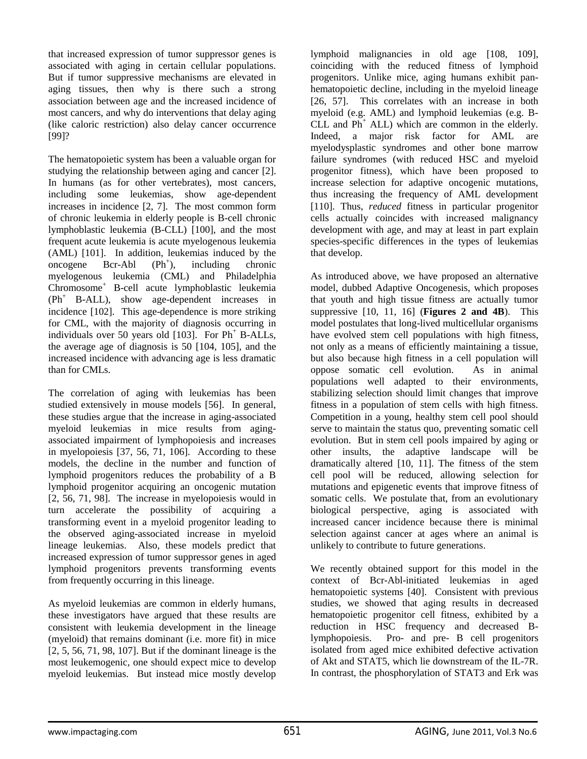that increased expression of tumor suppressor genes is associated with aging in certain cellular populations. But if tumor suppressive mechanisms are elevated in aging tissues, then why is there such a strong association between age and the increased incidence of most cancers, and why do interventions that delay aging (like caloric restriction) also delay cancer occurrence [99]?

The hematopoietic system has been a valuable organ for studying the relationship between aging and cancer [2]. In humans (as for other vertebrates), most cancers, including some leukemias, show age-dependent increases in incidence [2, 7]. The most common form of chronic leukemia in elderly people is B-cell chronic lymphoblastic leukemia (B-CLL) [100], and the most frequent acute leukemia is acute myelogenous leukemia (AML) [101]. In addition, leukemias induced by the oncogene Bcr-Abl  $(Ph<sup>+</sup>)$ , ), including chronic myelogenous leukemia (CML) and Philadelphia Chromosome<sup>+</sup> B-cell acute lymphoblastic leukemia (Ph<sup>+</sup> B-ALL), show age-dependent increases in incidence [102]. This age-dependence is more striking for CML, with the majority of diagnosis occurring in individuals over 50 years old  $[103]$ . For Ph<sup>+</sup> B-ALLs, the average age of diagnosis is 50 [104, 105], and the increased incidence with advancing age is less dramatic than for CMLs.

The correlation of aging with leukemias has been studied extensively in mouse models [56]. In general, these studies argue that the increase in aging-associated myeloid leukemias in mice results from agingassociated impairment of lymphopoiesis and increases in myelopoiesis [37, 56, 71, 106]. According to these models, the decline in the number and function of lymphoid progenitors reduces the probability of a B lymphoid progenitor acquiring an oncogenic mutation [2, 56, 71, 98]. The increase in myelopoiesis would in turn accelerate the possibility of acquiring a transforming event in a myeloid progenitor leading to the observed aging-associated increase in myeloid lineage leukemias. Also, these models predict that increased expression of tumor suppressor genes in aged lymphoid progenitors prevents transforming events from frequently occurring in this lineage.

As myeloid leukemias are common in elderly humans, these investigators have argued that these results are consistent with leukemia development in the lineage (myeloid) that remains dominant (i.e. more fit) in mice [2, 5, 56, 71, 98, 107]. But if the dominant lineage is the most leukemogenic, one should expect mice to develop myeloid leukemias. But instead mice mostly develop

lymphoid malignancies in old age [108, 109], coinciding with the reduced fitness of lymphoid progenitors. Unlike mice, aging humans exhibit panhematopoietic decline, including in the myeloid lineage [26, 57]. This correlates with an increase in both myeloid (e.g. AML) and lymphoid leukemias (e.g. B- $CLL$  and  $Ph<sup>+</sup> ALL$ ) which are common in the elderly. Indeed, a major risk factor for AML are myelodysplastic syndromes and other bone marrow failure syndromes (with reduced HSC and myeloid progenitor fitness), which have been proposed to increase selection for adaptive oncogenic mutations, thus increasing the frequency of AML development [110]. Thus, *reduced* fitness in particular progenitor cells actually coincides with increased malignancy development with age, and may at least in part explain species-specific differences in the types of leukemias that develop.

As introduced above, we have proposed an alternative model, dubbed Adaptive Oncogenesis, which proposes that youth and high tissue fitness are actually tumor suppressive [10, 11, 16] (**Figures 2 and 4B**). This model postulates that long-lived multicellular organisms have evolved stem cell populations with high fitness, not only as a means of efficiently maintaining a tissue, but also because high fitness in a cell population will oppose somatic cell evolution. As in animal populations well adapted to their environments, stabilizing selection should limit changes that improve fitness in a population of stem cells with high fitness. Competition in a young, healthy stem cell pool should serve to maintain the status quo, preventing somatic cell evolution. But in stem cell pools impaired by aging or other insults, the adaptive landscape will be dramatically altered [10, 11]. The fitness of the stem cell pool will be reduced, allowing selection for mutations and epigenetic events that improve fitness of somatic cells. We postulate that, from an evolutionary biological perspective, aging is associated with increased cancer incidence because there is minimal selection against cancer at ages where an animal is unlikely to contribute to future generations.

We recently obtained support for this model in the context of Bcr-Abl-initiated leukemias in aged hematopoietic systems [40]. Consistent with previous studies, we showed that aging results in decreased hematopoietic progenitor cell fitness, exhibited by a reduction in HSC frequency and decreased Blymphopoiesis. Pro- and pre- B cell progenitors isolated from aged mice exhibited defective activation of Akt and STAT5, which lie downstream of the IL-7R. In contrast, the phosphorylation of STAT3 and Erk was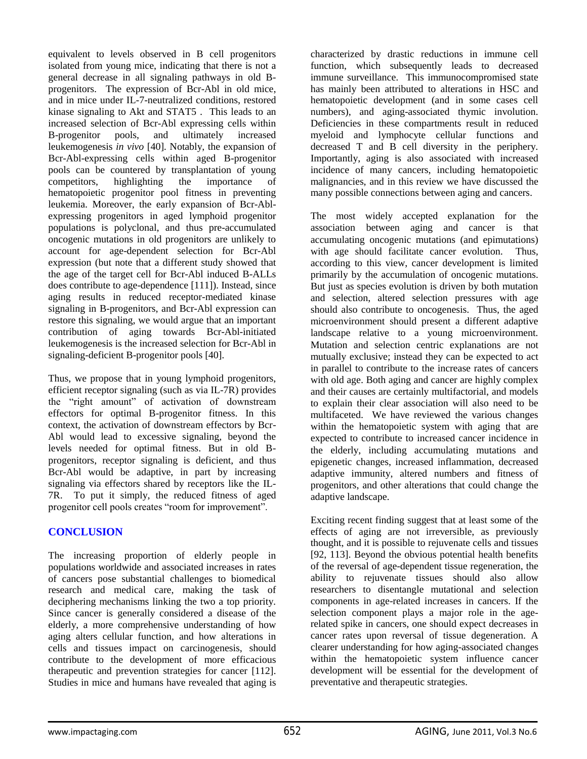equivalent to levels observed in B cell progenitors isolated from young mice, indicating that there is not a general decrease in all signaling pathways in old Bprogenitors. The expression of Bcr-Abl in old mice, and in mice under IL-7-neutralized conditions, restored kinase signaling to Akt and STAT5 . This leads to an increased selection of Bcr-Abl expressing cells within B-progenitor pools, and ultimately increased leukemogenesis *in vivo* [40]. Notably, the expansion of Bcr-Abl-expressing cells within aged B-progenitor pools can be countered by transplantation of young competitors, highlighting the importance of hematopoietic progenitor pool fitness in preventing leukemia. Moreover, the early expansion of Bcr-Ablexpressing progenitors in aged lymphoid progenitor populations is polyclonal, and thus pre-accumulated oncogenic mutations in old progenitors are unlikely to account for age-dependent selection for Bcr-Abl expression (but note that a different study showed that the age of the target cell for Bcr-Abl induced B-ALLs does contribute to age-dependence [111]). Instead, since aging results in reduced receptor-mediated kinase signaling in B-progenitors, and Bcr-Abl expression can restore this signaling, we would argue that an important contribution of aging towards Bcr-Abl-initiated leukemogenesis is the increased selection for Bcr-Abl in signaling-deficient B-progenitor pools [40].

Thus, we propose that in young lymphoid progenitors, efficient receptor signaling (such as via IL-7R) provides the "right amount" of activation of downstream effectors for optimal B-progenitor fitness. In this context, the activation of downstream effectors by Bcr-Abl would lead to excessive signaling, beyond the levels needed for optimal fitness. But in old Bprogenitors, receptor signaling is deficient, and thus Bcr-Abl would be adaptive, in part by increasing signaling via effectors shared by receptors like the IL-7R. To put it simply, the reduced fitness of aged progenitor cell pools creates "room for improvement".

# **CONCLUSION**

The increasing proportion of elderly people in populations worldwide and associated increases in rates of cancers pose substantial challenges to biomedical research and medical care, making the task of deciphering mechanisms linking the two a top priority. Since cancer is generally considered a disease of the elderly, a more comprehensive understanding of how aging alters cellular function, and how alterations in cells and tissues impact on carcinogenesis, should contribute to the development of more efficacious therapeutic and prevention strategies for cancer [112]. Studies in mice and humans have revealed that aging is

characterized by drastic reductions in immune cell function, which subsequently leads to decreased immune surveillance. This immunocompromised state has mainly been attributed to alterations in HSC and hematopoietic development (and in some cases cell numbers), and aging-associated thymic involution. Deficiencies in these compartments result in reduced myeloid and lymphocyte cellular functions and decreased T and B cell diversity in the periphery. Importantly, aging is also associated with increased incidence of many cancers, including hematopoietic malignancies, and in this review we have discussed the many possible connections between aging and cancers.

The most widely accepted explanation for the association between aging and cancer is that accumulating oncogenic mutations (and epimutations) with age should facilitate cancer evolution. Thus, according to this view, cancer development is limited primarily by the accumulation of oncogenic mutations. But just as species evolution is driven by both mutation and selection, altered selection pressures with age should also contribute to oncogenesis. Thus, the aged microenvironment should present a different adaptive landscape relative to a young microenvironment. Mutation and selection centric explanations are not mutually exclusive; instead they can be expected to act in parallel to contribute to the increase rates of cancers with old age. Both aging and cancer are highly complex and their causes are certainly multifactorial, and models to explain their clear association will also need to be multifaceted. We have reviewed the various changes within the hematopoietic system with aging that are expected to contribute to increased cancer incidence in the elderly, including accumulating mutations and epigenetic changes, increased inflammation, decreased adaptive immunity, altered numbers and fitness of progenitors, and other alterations that could change the adaptive landscape.

Exciting recent finding suggest that at least some of the effects of aging are not irreversible, as previously thought, and it is possible to rejuvenate cells and tissues [92, 113]. Beyond the obvious potential health benefits of the reversal of age-dependent tissue regeneration, the ability to rejuvenate tissues should also allow researchers to disentangle mutational and selection components in age-related increases in cancers. If the selection component plays a major role in the agerelated spike in cancers, one should expect decreases in cancer rates upon reversal of tissue degeneration. A clearer understanding for how aging-associated changes within the hematopoietic system influence cancer development will be essential for the development of preventative and therapeutic strategies.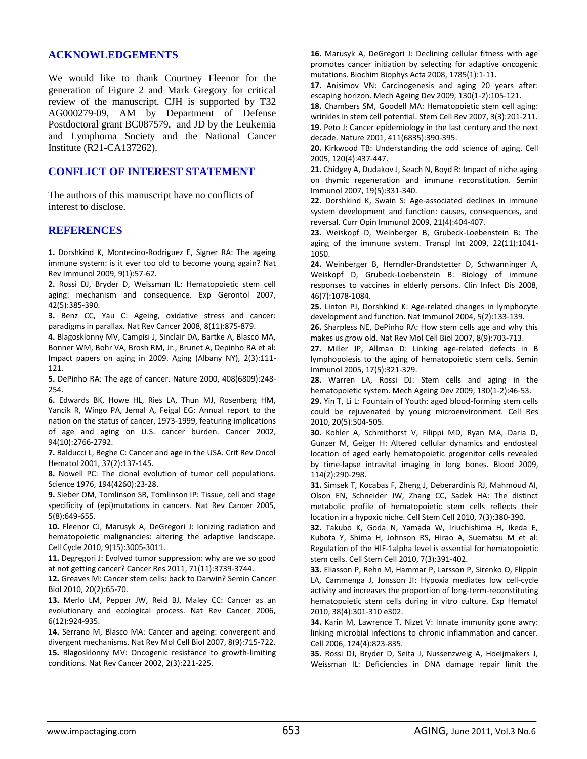#### **ACKNOWLEDGEMENTS**

We would like to thank Courtney Fleenor for the generation of Figure 2 and Mark Gregory for critical review of the manuscript. CJH is supported by T32 AG000279-09, AM by Department of Defense Postdoctoral grant BC087579, and JD by the Leukemia and Lymphoma Society and the National Cancer Institute (R21-CA137262).

## **CONFLICT OF INTEREST STATEMENT**

The authors of this manuscript have no conflicts of interest to disclose.

#### **REFERENCES**

**1.** Dorshkind K, Montecino-Rodriguez E, Signer RA: The ageing immune system: is it ever too old to become young again? Nat Rev Immunol 2009, 9(1):57-62.

**2.** Rossi DJ, Bryder D, Weissman IL: Hematopoietic stem cell aging: mechanism and consequence. Exp Gerontol 2007, 42(5):385-390.

**3.** Benz CC, Yau C: Ageing, oxidative stress and cancer: paradigms in parallax. Nat Rev Cancer 2008, 8(11):875-879.

**4.** Blagosklonny MV, Campisi J, Sinclair DA, Bartke A, Blasco MA, Bonner WM, Bohr VA, Brosh RM, Jr., Brunet A, Depinho RA et al: Impact papers on aging in 2009. Aging (Albany NY), 2(3):111- 121.

**5.** DePinho RA: The age of cancer. Nature 2000, 408(6809):248- 254.

**6.** Edwards BK, Howe HL, Ries LA, Thun MJ, Rosenberg HM, Yancik R, Wingo PA, Jemal A, Feigal EG: Annual report to the nation on the status of cancer, 1973-1999, featuring implications of age and aging on U.S. cancer burden. Cancer 2002, 94(10):2766-2792.

**7.** Balducci L, Beghe C: Cancer and age in the USA. Crit Rev Oncol Hematol 2001, 37(2):137-145.

**8.** Nowell PC: The clonal evolution of tumor cell populations. Science 1976, 194(4260):23-28.

**9.** Sieber OM, Tomlinson SR, Tomlinson IP: Tissue, cell and stage specificity of (epi)mutations in cancers. Nat Rev Cancer 2005, 5(8):649-655.

**10.** Fleenor CJ, Marusyk A, DeGregori J: Ionizing radiation and hematopoietic malignancies: altering the adaptive landscape. Cell Cycle 2010, 9(15):3005-3011.

**11.** Degregori J: Evolved tumor suppression: why are we so good at not getting cancer? Cancer Res 2011, 71(11):3739-3744.

**12.** Greaves M: Cancer stem cells: back to Darwin? Semin Cancer Biol 2010, 20(2):65-70.

**13.** Merlo LM, Pepper JW, Reid BJ, Maley CC: Cancer as an evolutionary and ecological process. Nat Rev Cancer 2006, 6(12):924-935.

**14.** Serrano M, Blasco MA: Cancer and ageing: convergent and divergent mechanisms. Nat Rev Mol Cell Biol 2007, 8(9):715-722. **15.** Blagosklonny MV: Oncogenic resistance to growth-limiting conditions. Nat Rev Cancer 2002, 2(3):221-225.

**16.** Marusyk A, DeGregori J: Declining cellular fitness with age promotes cancer initiation by selecting for adaptive oncogenic mutations. Biochim Biophys Acta 2008, 1785(1):1-11.

**17.** Anisimov VN: Carcinogenesis and aging 20 years after: escaping horizon. Mech Ageing Dev 2009, 130(1-2):105-121.

**18.** Chambers SM, Goodell MA: Hematopoietic stem cell aging: wrinkles in stem cell potential. Stem Cell Rev 2007, 3(3):201-211. **19.** Peto J: Cancer epidemiology in the last century and the next decade. Nature 2001, 411(6835):390-395.

**20.** Kirkwood TB: Understanding the odd science of aging. Cell 2005, 120(4):437-447.

**21.** Chidgey A, Dudakov J, Seach N, Boyd R: Impact of niche aging on thymic regeneration and immune reconstitution. Semin Immunol 2007, 19(5):331-340.

**22.** Dorshkind K, Swain S: Age-associated declines in immune system development and function: causes, consequences, and reversal. Curr Opin Immunol 2009, 21(4):404-407.

**23.** Weiskopf D, Weinberger B, Grubeck-Loebenstein B: The aging of the immune system. Transpl Int 2009, 22(11):1041- 1050.

**24.** Weinberger B, Herndler-Brandstetter D, Schwanninger A, Weiskopf D, Grubeck-Loebenstein B: Biology of immune responses to vaccines in elderly persons. Clin Infect Dis 2008, 46(7):1078-1084.

**25.** Linton PJ, Dorshkind K: Age-related changes in lymphocyte development and function. Nat Immunol 2004, 5(2):133-139.

**26.** Sharpless NE, DePinho RA: How stem cells age and why this makes us grow old. Nat Rev Mol Cell Biol 2007, 8(9):703-713.

**27.** Miller JP, Allman D: Linking age-related defects in B lymphopoiesis to the aging of hematopoietic stem cells. Semin Immunol 2005, 17(5):321-329.

**28.** Warren LA, Rossi DJ: Stem cells and aging in the hematopoietic system. Mech Ageing Dev 2009, 130(1-2):46-53.

**29.** Yin T, Li L: Fountain of Youth: aged blood-forming stem cells could be rejuvenated by young microenvironment. Cell Res 2010, 20(5):504-505.

**30.** Kohler A, Schmithorst V, Filippi MD, Ryan MA, Daria D, Gunzer M, Geiger H: Altered cellular dynamics and endosteal location of aged early hematopoietic progenitor cells revealed by time-lapse intravital imaging in long bones. Blood 2009, 114(2):290-298.

**31.** Simsek T, Kocabas F, Zheng J, Deberardinis RJ, Mahmoud AI, Olson EN, Schneider JW, Zhang CC, Sadek HA: The distinct metabolic profile of hematopoietic stem cells reflects their location in a hypoxic niche. Cell Stem Cell 2010, 7(3):380-390.

**32.** Takubo K, Goda N, Yamada W, Iriuchishima H, Ikeda E, Kubota Y, Shima H, Johnson RS, Hirao A, Suematsu M et al: Regulation of the HIF-1alpha level is essential for hematopoietic stem cells. Cell Stem Cell 2010, 7(3):391-402.

**33.** Eliasson P, Rehn M, Hammar P, Larsson P, Sirenko O, Flippin LA, Cammenga J, Jonsson JI: Hypoxia mediates low cell-cycle activity and increases the proportion of long-term-reconstituting hematopoietic stem cells during in vitro culture. Exp Hematol 2010, 38(4):301-310 e302.

**34.** Karin M, Lawrence T, Nizet V: Innate immunity gone awry: linking microbial infections to chronic inflammation and cancer. Cell 2006, 124(4):823-835.

**35.** Rossi DJ, Bryder D, Seita J, Nussenzweig A, Hoeijmakers J, Weissman IL: Deficiencies in DNA damage repair limit the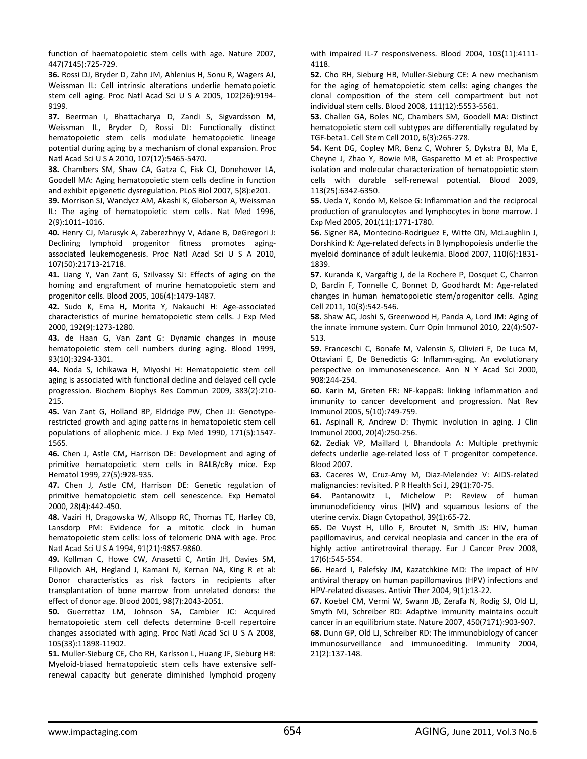function of haematopoietic stem cells with age. Nature 2007, 447(7145):725-729.

**36.** Rossi DJ, Bryder D, Zahn JM, Ahlenius H, Sonu R, Wagers AJ, Weissman IL: Cell intrinsic alterations underlie hematopoietic stem cell aging. Proc Natl Acad Sci U S A 2005, 102(26):9194- 9199.

**37.** Beerman I, Bhattacharya D, Zandi S, Sigvardsson M, Weissman IL, Bryder D, Rossi DJ: Functionally distinct hematopoietic stem cells modulate hematopoietic lineage potential during aging by a mechanism of clonal expansion. Proc Natl Acad Sci U S A 2010, 107(12):5465-5470.

**38.** Chambers SM, Shaw CA, Gatza C, Fisk CJ, Donehower LA, Goodell MA: Aging hematopoietic stem cells decline in function and exhibit epigenetic dysregulation. PLoS Biol 2007, 5(8):e201.

**39.** Morrison SJ, Wandycz AM, Akashi K, Globerson A, Weissman IL: The aging of hematopoietic stem cells. Nat Med 1996, 2(9):1011-1016.

**40.** Henry CJ, Marusyk A, Zaberezhnyy V, Adane B, DeGregori J: Declining lymphoid progenitor fitness promotes agingassociated leukemogenesis. Proc Natl Acad Sci U S A 2010, 107(50):21713-21718.

**41.** Liang Y, Van Zant G, Szilvassy SJ: Effects of aging on the homing and engraftment of murine hematopoietic stem and progenitor cells. Blood 2005, 106(4):1479-1487.

**42.** Sudo K, Ema H, Morita Y, Nakauchi H: Age-associated characteristics of murine hematopoietic stem cells. J Exp Med 2000, 192(9):1273-1280.

**43.** de Haan G, Van Zant G: Dynamic changes in mouse hematopoietic stem cell numbers during aging. Blood 1999, 93(10):3294-3301.

**44.** Noda S, Ichikawa H, Miyoshi H: Hematopoietic stem cell aging is associated with functional decline and delayed cell cycle progression. Biochem Biophys Res Commun 2009, 383(2):210- 215.

**45.** Van Zant G, Holland BP, Eldridge PW, Chen JJ: Genotyperestricted growth and aging patterns in hematopoietic stem cell populations of allophenic mice. J Exp Med 1990, 171(5):1547- 1565.

**46.** Chen J, Astle CM, Harrison DE: Development and aging of primitive hematopoietic stem cells in BALB/cBy mice. Exp Hematol 1999, 27(5):928-935.

**47.** Chen J, Astle CM, Harrison DE: Genetic regulation of primitive hematopoietic stem cell senescence. Exp Hematol 2000, 28(4):442-450.

**48.** Vaziri H, Dragowska W, Allsopp RC, Thomas TE, Harley CB, Lansdorp PM: Evidence for a mitotic clock in human hematopoietic stem cells: loss of telomeric DNA with age. Proc Natl Acad Sci U S A 1994, 91(21):9857-9860.

**49.** Kollman C, Howe CW, Anasetti C, Antin JH, Davies SM, Filipovich AH, Hegland J, Kamani N, Kernan NA, King R et al: Donor characteristics as risk factors in recipients after transplantation of bone marrow from unrelated donors: the effect of donor age. Blood 2001, 98(7):2043-2051.

**50.** Guerrettaz LM, Johnson SA, Cambier JC: Acquired hematopoietic stem cell defects determine B-cell repertoire changes associated with aging. Proc Natl Acad Sci U S A 2008, 105(33):11898-11902.

**51.** Muller-Sieburg CE, Cho RH, Karlsson L, Huang JF, Sieburg HB: Myeloid-biased hematopoietic stem cells have extensive selfrenewal capacity but generate diminished lymphoid progeny with impaired IL-7 responsiveness. Blood 2004, 103(11):4111- 4118.

**52.** Cho RH, Sieburg HB, Muller-Sieburg CE: A new mechanism for the aging of hematopoietic stem cells: aging changes the clonal composition of the stem cell compartment but not individual stem cells. Blood 2008, 111(12):5553-5561.

**53.** Challen GA, Boles NC, Chambers SM, Goodell MA: Distinct hematopoietic stem cell subtypes are differentially regulated by TGF-beta1. Cell Stem Cell 2010, 6(3):265-278.

**54.** Kent DG, Copley MR, Benz C, Wohrer S, Dykstra BJ, Ma E, Cheyne J, Zhao Y, Bowie MB, Gasparetto M et al: Prospective isolation and molecular characterization of hematopoietic stem cells with durable self-renewal potential. Blood 2009, 113(25):6342-6350.

**55.** Ueda Y, Kondo M, Kelsoe G: Inflammation and the reciprocal production of granulocytes and lymphocytes in bone marrow. J Exp Med 2005, 201(11):1771-1780.

**56.** Signer RA, Montecino-Rodriguez E, Witte ON, McLaughlin J, Dorshkind K: Age-related defects in B lymphopoiesis underlie the myeloid dominance of adult leukemia. Blood 2007, 110(6):1831- 1839.

**57.** Kuranda K, Vargaftig J, de la Rochere P, Dosquet C, Charron D, Bardin F, Tonnelle C, Bonnet D, Goodhardt M: Age-related changes in human hematopoietic stem/progenitor cells. Aging Cell 2011, 10(3):542-546.

**58.** Shaw AC, Joshi S, Greenwood H, Panda A, Lord JM: Aging of the innate immune system. Curr Opin Immunol 2010, 22(4):507- 513.

**59.** Franceschi C, Bonafe M, Valensin S, Olivieri F, De Luca M, Ottaviani E, De Benedictis G: Inflamm-aging. An evolutionary perspective on immunosenescence. Ann N Y Acad Sci 2000, 908:244-254.

**60.** Karin M, Greten FR: NF-kappaB: linking inflammation and immunity to cancer development and progression. Nat Rev Immunol 2005, 5(10):749-759.

**61.** Aspinall R, Andrew D: Thymic involution in aging. J Clin Immunol 2000, 20(4):250-256.

**62.** Zediak VP, Maillard I, Bhandoola A: Multiple prethymic defects underlie age-related loss of T progenitor competence. Blood 2007.

**63.** Caceres W, Cruz-Amy M, Diaz-Melendez V: AIDS-related malignancies: revisited. P R Health Sci J, 29(1):70-75.

**64.** Pantanowitz L, Michelow P: Review of human immunodeficiency virus (HIV) and squamous lesions of the uterine cervix. Diagn Cytopathol, 39(1):65-72.

**65.** De Vuyst H, Lillo F, Broutet N, Smith JS: HIV, human papillomavirus, and cervical neoplasia and cancer in the era of highly active antiretroviral therapy. Eur J Cancer Prev 2008, 17(6):545-554.

**66.** Heard I, Palefsky JM, Kazatchkine MD: The impact of HIV antiviral therapy on human papillomavirus (HPV) infections and HPV-related diseases. Antivir Ther 2004, 9(1):13-22.

**67.** Koebel CM, Vermi W, Swann JB, Zerafa N, Rodig SJ, Old LJ, Smyth MJ, Schreiber RD: Adaptive immunity maintains occult cancer in an equilibrium state. Nature 2007, 450(7171):903-907. **68.** Dunn GP, Old LJ, Schreiber RD: The immunobiology of cancer immunosurveillance and immunoediting. Immunity 2004, 21(2):137-148.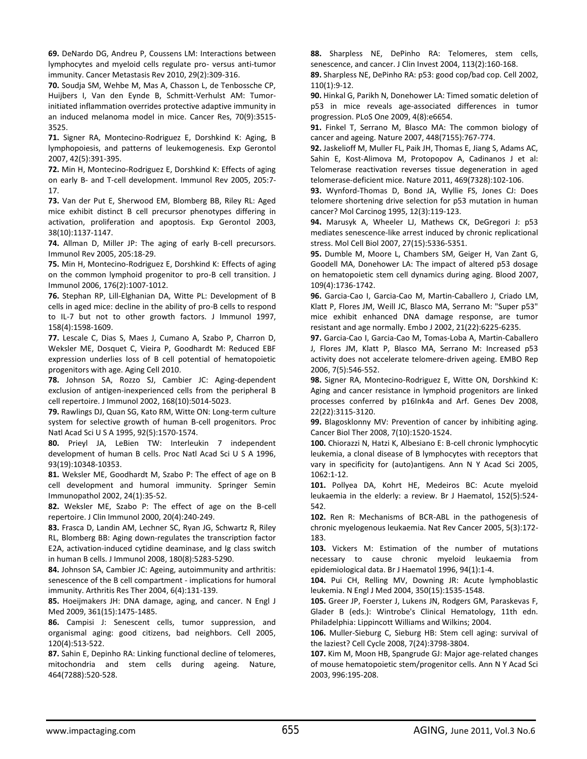**69.** DeNardo DG, Andreu P, Coussens LM: Interactions between lymphocytes and myeloid cells regulate pro- versus anti-tumor immunity. Cancer Metastasis Rev 2010, 29(2):309-316.

**70.** Soudja SM, Wehbe M, Mas A, Chasson L, de Tenbossche CP, Huijbers I, Van den Eynde B, Schmitt-Verhulst AM: Tumorinitiated inflammation overrides protective adaptive immunity in an induced melanoma model in mice. Cancer Res, 70(9):3515- 3525.

**71.** Signer RA, Montecino-Rodriguez E, Dorshkind K: Aging, B lymphopoiesis, and patterns of leukemogenesis. Exp Gerontol 2007, 42(5):391-395.

**72.** Min H, Montecino-Rodriguez E, Dorshkind K: Effects of aging on early B- and T-cell development. Immunol Rev 2005, 205:7- 17.

**73.** Van der Put E, Sherwood EM, Blomberg BB, Riley RL: Aged mice exhibit distinct B cell precursor phenotypes differing in activation, proliferation and apoptosis. Exp Gerontol 2003, 38(10):1137-1147.

**74.** Allman D, Miller JP: The aging of early B-cell precursors. Immunol Rev 2005, 205:18-29.

**75.** Min H, Montecino-Rodriguez E, Dorshkind K: Effects of aging on the common lymphoid progenitor to pro-B cell transition. J Immunol 2006, 176(2):1007-1012.

**76.** Stephan RP, Lill-Elghanian DA, Witte PL: Development of B cells in aged mice: decline in the ability of pro-B cells to respond to IL-7 but not to other growth factors. J Immunol 1997, 158(4):1598-1609.

**77.** Lescale C, Dias S, Maes J, Cumano A, Szabo P, Charron D, Weksler ME, Dosquet C, Vieira P, Goodhardt M: Reduced EBF expression underlies loss of B cell potential of hematopoietic progenitors with age. Aging Cell 2010.

**78.** Johnson SA, Rozzo SJ, Cambier JC: Aging-dependent exclusion of antigen-inexperienced cells from the peripheral B cell repertoire. J Immunol 2002, 168(10):5014-5023.

**79.** Rawlings DJ, Quan SG, Kato RM, Witte ON: Long-term culture system for selective growth of human B-cell progenitors. Proc Natl Acad Sci U S A 1995, 92(5):1570-1574.

**80.** Prieyl JA, LeBien TW: Interleukin 7 independent development of human B cells. Proc Natl Acad Sci U S A 1996, 93(19):10348-10353.

**81.** Weksler ME, Goodhardt M, Szabo P: The effect of age on B cell development and humoral immunity. Springer Semin Immunopathol 2002, 24(1):35-52.

**82.** Weksler ME, Szabo P: The effect of age on the B-cell repertoire. J Clin Immunol 2000, 20(4):240-249.

**83.** Frasca D, Landin AM, Lechner SC, Ryan JG, Schwartz R, Riley RL, Blomberg BB: Aging down-regulates the transcription factor E2A, activation-induced cytidine deaminase, and Ig class switch in human B cells. J Immunol 2008, 180(8):5283-5290.

**84.** Johnson SA, Cambier JC: Ageing, autoimmunity and arthritis: senescence of the B cell compartment - implications for humoral immunity. Arthritis Res Ther 2004, 6(4):131-139.

**85.** Hoeijmakers JH: DNA damage, aging, and cancer. N Engl J Med 2009, 361(15):1475-1485.

**86.** Campisi J: Senescent cells, tumor suppression, and organismal aging: good citizens, bad neighbors. Cell 2005, 120(4):513-522.

**87.** Sahin E, Depinho RA: Linking functional decline of telomeres, mitochondria and stem cells during ageing. Nature, 464(7288):520-528.

**88.** Sharpless NE, DePinho RA: Telomeres, stem cells, senescence, and cancer. J Clin Invest 2004, 113(2):160-168.

**89.** Sharpless NE, DePinho RA: p53: good cop/bad cop. Cell 2002, 110(1):9-12.

**90.** Hinkal G, Parikh N, Donehower LA: Timed somatic deletion of p53 in mice reveals age-associated differences in tumor progression. PLoS One 2009, 4(8):e6654.

**91.** Finkel T, Serrano M, Blasco MA: The common biology of cancer and ageing. Nature 2007, 448(7155):767-774.

**92.** Jaskelioff M, Muller FL, Paik JH, Thomas E, Jiang S, Adams AC, Sahin E, Kost-Alimova M, Protopopov A, Cadinanos J et al: Telomerase reactivation reverses tissue degeneration in aged telomerase-deficient mice. Nature 2011, 469(7328):102-106.

**93.** Wynford-Thomas D, Bond JA, Wyllie FS, Jones CJ: Does telomere shortening drive selection for p53 mutation in human cancer? Mol Carcinog 1995, 12(3):119-123.

**94.** Marusyk A, Wheeler LJ, Mathews CK, DeGregori J: p53 mediates senescence-like arrest induced by chronic replicational stress. Mol Cell Biol 2007, 27(15):5336-5351.

**95.** Dumble M, Moore L, Chambers SM, Geiger H, Van Zant G, Goodell MA, Donehower LA: The impact of altered p53 dosage on hematopoietic stem cell dynamics during aging. Blood 2007, 109(4):1736-1742.

**96.** Garcia-Cao I, Garcia-Cao M, Martin-Caballero J, Criado LM, Klatt P, Flores JM, Weill JC, Blasco MA, Serrano M: "Super p53" mice exhibit enhanced DNA damage response, are tumor resistant and age normally. Embo J 2002, 21(22):6225-6235.

**97.** Garcia-Cao I, Garcia-Cao M, Tomas-Loba A, Martin-Caballero J, Flores JM, Klatt P, Blasco MA, Serrano M: Increased p53 activity does not accelerate telomere-driven ageing. EMBO Rep 2006, 7(5):546-552.

**98.** Signer RA, Montecino-Rodriguez E, Witte ON, Dorshkind K: Aging and cancer resistance in lymphoid progenitors are linked processes conferred by p16Ink4a and Arf. Genes Dev 2008, 22(22):3115-3120.

**99.** Blagosklonny MV: Prevention of cancer by inhibiting aging. Cancer Biol Ther 2008, 7(10):1520-1524.

**100.** Chiorazzi N, Hatzi K, Albesiano E: B-cell chronic lymphocytic leukemia, a clonal disease of B lymphocytes with receptors that vary in specificity for (auto)antigens. Ann N Y Acad Sci 2005, 1062:1-12.

**101.** Pollyea DA, Kohrt HE, Medeiros BC: Acute myeloid leukaemia in the elderly: a review. Br J Haematol, 152(5):524- 542.

**102.** Ren R: Mechanisms of BCR-ABL in the pathogenesis of chronic myelogenous leukaemia. Nat Rev Cancer 2005, 5(3):172- 183.

**103.** Vickers M: Estimation of the number of mutations necessary to cause chronic myeloid leukaemia from epidemiological data. Br J Haematol 1996, 94(1):1-4.

**104.** Pui CH, Relling MV, Downing JR: Acute lymphoblastic leukemia. N Engl J Med 2004, 350(15):1535-1548.

**105.** Greer JP, Foerster J, Lukens JN, Rodgers GM, Paraskevas F, Glader B (eds.): Wintrobe's Clinical Hematology, 11th edn. Philadelphia: Lippincott Williams and Wilkins; 2004.

**106.** Muller-Sieburg C, Sieburg HB: Stem cell aging: survival of the laziest? Cell Cycle 2008, 7(24):3798-3804.

**107.** Kim M, Moon HB, Spangrude GJ: Major age-related changes of mouse hematopoietic stem/progenitor cells. Ann N Y Acad Sci 2003, 996:195-208.